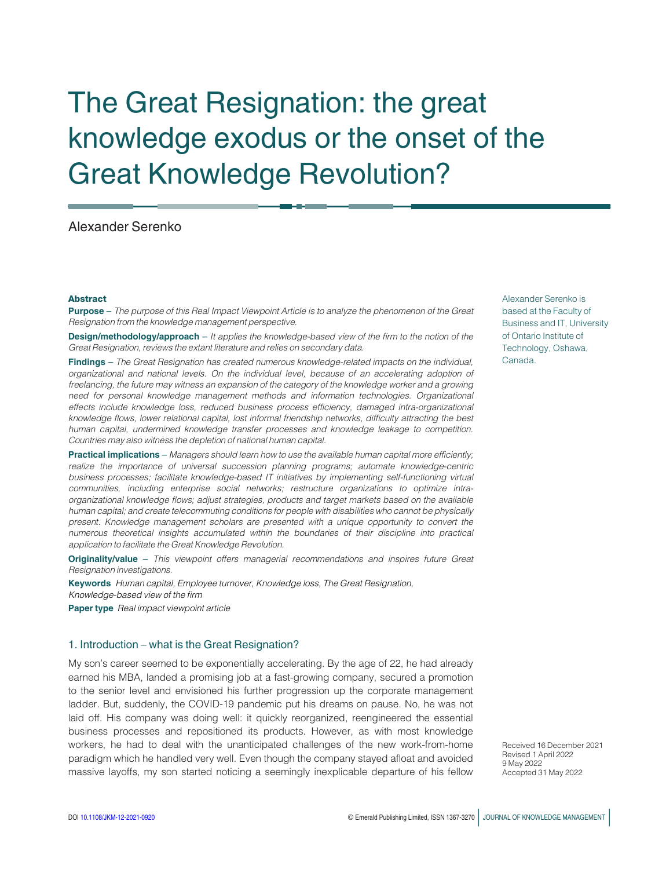# The Great Resignation: the great knowledge exodus or the onset of the Great Knowledge Revolution?

# Alexander Serenko

#### Abstract

Purpose - The purpose of this Real Impact Viewpoint Article is to analyze the phenomenon of the Great Resignation from the knowledge management perspective.

**Design/methodology/approach** – It applies the knowledge-based view of the firm to the notion of the Great Resignation, reviews the extant literature and relies on secondary data.

Findings - The Great Resignation has created numerous knowledge-related impacts on the individual, organizational and national levels. On the individual level, because of an accelerating adoption of freelancing, the future may witness an expansion of the category of the knowledge worker and a growing need for personal knowledge management methods and information technologies. Organizational effects include knowledge loss, reduced business process efficiency, damaged intra-organizational knowledge flows, lower relational capital, lost informal friendship networks, difficulty attracting the best human capital, undermined knowledge transfer processes and knowledge leakage to competition. Countries may also witness the depletion of national human capital.

Practical implications – Managers should learn how to use the available human capital more efficiently; realize the importance of universal succession planning programs; automate knowledge-centric business processes; facilitate knowledge-based IT initiatives by implementing self-functioning virtual communities, including enterprise social networks; restructure organizations to optimize intraorganizational knowledge flows; adjust strategies, products and target markets based on the available human capital; and create telecommuting conditions for people with disabilities who cannot be physically present. Knowledge management scholars are presented with a unique opportunity to convert the numerous theoretical insights accumulated within the boundaries of their discipline into practical application to facilitate the Great Knowledge Revolution.

Originality/value - This viewpoint offers managerial recommendations and inspires future Great Resignation investigations.

**Keywords** Human capital, Employee turnover, Knowledge loss, The Great Resignation, Knowledge-based view of the firm Paper type Real impact viewpoint article

## 1. Introduction – what is the Great Resignation?

My son's career seemed to be exponentially accelerating. By the age of 22, he had already earned his MBA, landed a promising job at a fast-growing company, secured a promotion to the senior level and envisioned his further progression up the corporate management ladder. But, suddenly, the COVID-19 pandemic put his dreams on pause. No, he was not laid off. His company was doing well: it quickly reorganized, reengineered the essential business processes and repositioned its products. However, as with most knowledge workers, he had to deal with the unanticipated challenges of the new work-from-home paradigm which he handled very well. Even though the company stayed afloat and avoided massive layoffs, my son started noticing a seemingly inexplicable departure of his fellow Alexander Serenko is based at the Faculty of Business and IT, University of Ontario Institute of Technology, Oshawa, Canada.

Received 16 December 2021 Revised 1 April 2022 9 May 2022 Accepted 31 May 2022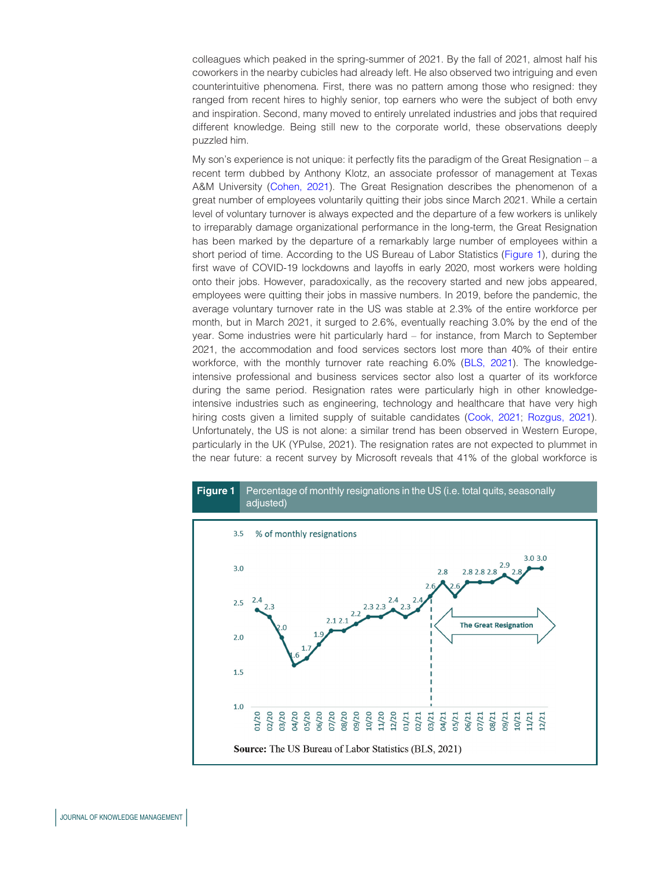colleagues which peaked in the spring-summer of 2021. By the fall of 2021, almost half his coworkers in the nearby cubicles had already left. He also observed two intriguing and even counterintuitive phenomena. First, there was no pattern among those who resigned: they ranged from recent hires to highly senior, top earners who were the subject of both envy and inspiration. Second, many moved to entirely unrelated industries and jobs that required different knowledge. Being still new to the corporate world, these observations deeply puzzled him.

My son's experience is not unique: it perfectly fits the paradigm of the Great Resignation – a recent term dubbed by Anthony Klotz, an associate professor of management at Texas A&M University ([Cohen, 2021](#page-9-0)). The Great Resignation describes the phenomenon of a great number of employees voluntarily quitting their jobs since March 2021. While a certain level of voluntary turnover is always expected and the departure of a few workers is unlikely to irreparably damage organizational performance in the long-term, the Great Resignation has been marked by the departure of a remarkably large number of employees within a short period of time. According to the US Bureau of Labor Statistics [\(Figure 1](#page-1-0)), during the first wave of COVID-19 lockdowns and layoffs in early 2020, most workers were holding onto their jobs. However, paradoxically, as the recovery started and new jobs appeared, employees were quitting their jobs in massive numbers. In 2019, before the pandemic, the average voluntary turnover rate in the US was stable at 2.3% of the entire workforce per month, but in March 2021, it surged to 2.6%, eventually reaching 3.0% by the end of the year. Some industries were hit particularly hard – for instance, from March to September 2021, the accommodation and food services sectors lost more than 40% of their entire workforce, with the monthly turnover rate reaching 6.0% [\(BLS, 2021](#page-9-1)). The knowledgeintensive professional and business services sector also lost a quarter of its workforce during the same period. Resignation rates were particularly high in other knowledgeintensive industries such as engineering, technology and healthcare that have very high hiring costs given a limited supply of suitable candidates [\(Cook, 2021](#page-9-2); [Rozgus, 2021](#page-11-0)). Unfortunately, the US is not alone: a similar trend has been observed in Western Europe, particularly in the UK (YPulse, 2021). The resignation rates are not expected to plummet in the near future: a recent survey by Microsoft reveals that 41% of the global workforce is

<span id="page-1-0"></span>

# JOURNAL OF KNOWLEDGE MANAGEMENT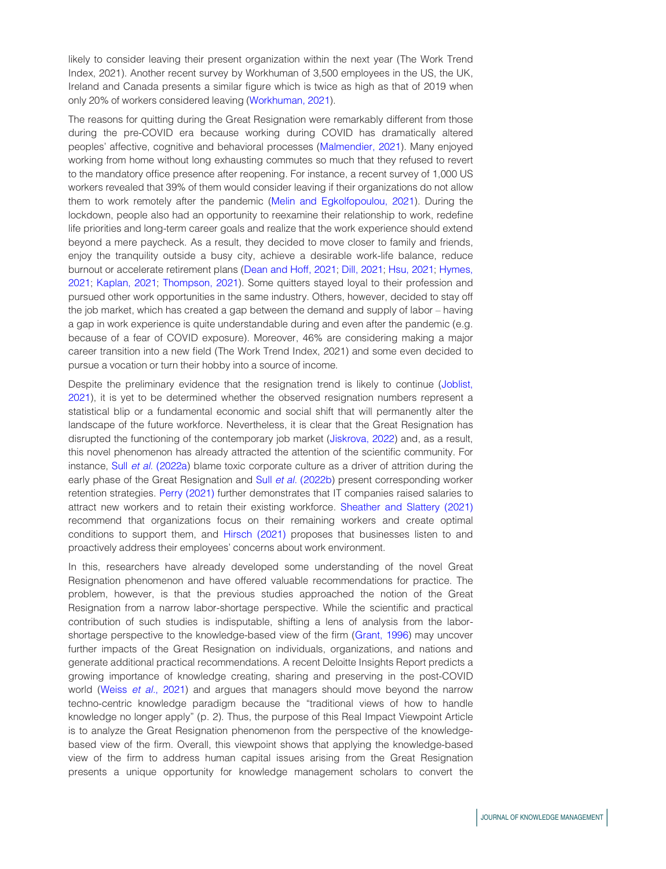likely to consider leaving their present organization within the next year (The Work Trend Index, 2021). Another recent survey by Workhuman of 3,500 employees in the US, the UK, Ireland and Canada presents a similar figure which is twice as high as that of 2019 when only 20% of workers considered leaving [\(Workhuman, 2021\)](#page-12-0).

The reasons for quitting during the Great Resignation were remarkably different from those during the pre-COVID era because working during COVID has dramatically altered peoples' affective, cognitive and behavioral processes [\(Malmendier, 2021](#page-11-1)). Many enjoyed working from home without long exhausting commutes so much that they refused to revert to the mandatory office presence after reopening. For instance, a recent survey of 1,000 US workers revealed that 39% of them would consider leaving if their organizations do not allow them to work remotely after the pandemic ([Melin and Egkolfopoulou, 2021](#page-11-2)). During the lockdown, people also had an opportunity to reexamine their relationship to work, redefine life priorities and long-term career goals and realize that the work experience should extend beyond a mere paycheck. As a result, they decided to move closer to family and friends, enjoy the tranquility outside a busy city, achieve a desirable work-life balance, reduce burnout or accelerate retirement plans [\(Dean and Hoff, 2021;](#page-9-3) [Dill, 2021](#page-9-4); [Hsu, 2021;](#page-10-0) [Hymes,](#page-10-1) [2021;](#page-10-1) [Kaplan, 2021;](#page-11-3) [Thompson, 2021\)](#page-12-1). Some quitters stayed loyal to their profession and pursued other work opportunities in the same industry. Others, however, decided to stay off the job market, which has created a gap between the demand and supply of labor – having a gap in work experience is quite understandable during and even after the pandemic (e.g. because of a fear of COVID exposure). Moreover, 46% are considering making a major career transition into a new field (The Work Trend Index, 2021) and some even decided to pursue a vocation or turn their hobby into a source of income.

Despite the preliminary evidence that the resignation trend is likely to continue ([Joblist,](#page-10-2) [2021\)](#page-10-2), it is yet to be determined whether the observed resignation numbers represent a statistical blip or a fundamental economic and social shift that will permanently alter the landscape of the future workforce. Nevertheless, it is clear that the Great Resignation has disrupted the functioning of the contemporary job market [\(Jiskrova, 2022\)](#page-10-3) and, as a result, this novel phenomenon has already attracted the attention of the scientific community. For instance, Sull et al. [\(2022a](#page-12-2)) blame toxic corporate culture as a driver of attrition during the early phase of the Great Resignation and Sull et al. [\(2022b\)](#page-12-3) present corresponding worker retention strategies. [Perry \(2021\)](#page-11-4) further demonstrates that IT companies raised salaries to attract new workers and to retain their existing workforce. [Sheather and Slattery \(2021\)](#page-12-4) recommend that organizations focus on their remaining workers and create optimal conditions to support them, and [Hirsch \(2021\)](#page-10-4) proposes that businesses listen to and proactively address their employees' concerns about work environment.

In this, researchers have already developed some understanding of the novel Great Resignation phenomenon and have offered valuable recommendations for practice. The problem, however, is that the previous studies approached the notion of the Great Resignation from a narrow labor-shortage perspective. While the scientific and practical contribution of such studies is indisputable, shifting a lens of analysis from the laborshortage perspective to the knowledge-based view of the firm [\(Grant, 1996\)](#page-10-5) may uncover further impacts of the Great Resignation on individuals, organizations, and nations and generate additional practical recommendations. A recent Deloitte Insights Report predicts a growing importance of knowledge creating, sharing and preserving in the post-COVID world (Weiss et al.[, 2021](#page-12-5)) and argues that managers should move beyond the narrow techno-centric knowledge paradigm because the "traditional views of how to handle knowledge no longer apply" (p. 2). Thus, the purpose of this Real Impact Viewpoint Article is to analyze the Great Resignation phenomenon from the perspective of the knowledgebased view of the firm. Overall, this viewpoint shows that applying the knowledge-based view of the firm to address human capital issues arising from the Great Resignation presents a unique opportunity for knowledge management scholars to convert the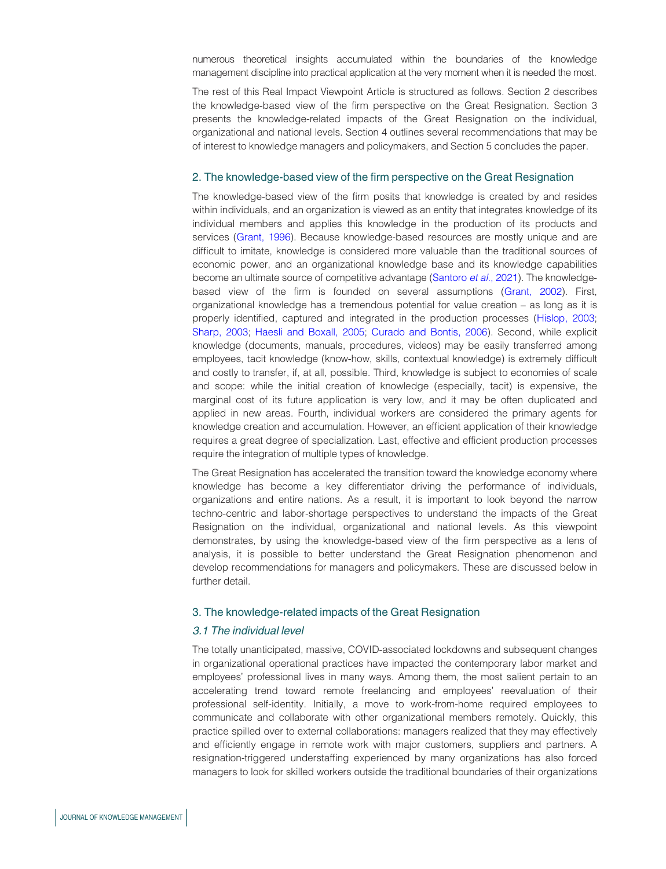numerous theoretical insights accumulated within the boundaries of the knowledge management discipline into practical application at the very moment when it is needed the most.

The rest of this Real Impact Viewpoint Article is structured as follows. Section 2 describes the knowledge-based view of the firm perspective on the Great Resignation. Section 3 presents the knowledge-related impacts of the Great Resignation on the individual, organizational and national levels. Section 4 outlines several recommendations that may be of interest to knowledge managers and policymakers, and Section 5 concludes the paper.

#### 2. The knowledge-based view of the firm perspective on the Great Resignation

The knowledge-based view of the firm posits that knowledge is created by and resides within individuals, and an organization is viewed as an entity that integrates knowledge of its individual members and applies this knowledge in the production of its products and services ([Grant, 1996\)](#page-10-5). Because knowledge-based resources are mostly unique and are difficult to imitate, knowledge is considered more valuable than the traditional sources of economic power, and an organizational knowledge base and its knowledge capabilities become an ultimate source of competitive advantage ([Santoro](#page-11-5) et al., 2021). The knowledgebased view of the firm is founded on several assumptions ([Grant, 2002](#page-10-6)). First, organizational knowledge has a tremendous potential for value creation – as long as it is properly identified, captured and integrated in the production processes [\(Hislop, 2003](#page-10-7); [Sharp, 2003;](#page-12-6) [Haesli and Boxall, 2005;](#page-10-8) [Curado and Bontis, 2006\)](#page-9-5). Second, while explicit knowledge (documents, manuals, procedures, videos) may be easily transferred among employees, tacit knowledge (know-how, skills, contextual knowledge) is extremely difficult and costly to transfer, if, at all, possible. Third, knowledge is subject to economies of scale and scope: while the initial creation of knowledge (especially, tacit) is expensive, the marginal cost of its future application is very low, and it may be often duplicated and applied in new areas. Fourth, individual workers are considered the primary agents for knowledge creation and accumulation. However, an efficient application of their knowledge requires a great degree of specialization. Last, effective and efficient production processes require the integration of multiple types of knowledge.

The Great Resignation has accelerated the transition toward the knowledge economy where knowledge has become a key differentiator driving the performance of individuals, organizations and entire nations. As a result, it is important to look beyond the narrow techno-centric and labor-shortage perspectives to understand the impacts of the Great Resignation on the individual, organizational and national levels. As this viewpoint demonstrates, by using the knowledge-based view of the firm perspective as a lens of analysis, it is possible to better understand the Great Resignation phenomenon and develop recommendations for managers and policymakers. These are discussed below in further detail.

#### 3. The knowledge-related impacts of the Great Resignation

# 3.1 The individual level

The totally unanticipated, massive, COVID-associated lockdowns and subsequent changes in organizational operational practices have impacted the contemporary labor market and employees' professional lives in many ways. Among them, the most salient pertain to an accelerating trend toward remote freelancing and employees' reevaluation of their professional self-identity. Initially, a move to work-from-home required employees to communicate and collaborate with other organizational members remotely. Quickly, this practice spilled over to external collaborations: managers realized that they may effectively and efficiently engage in remote work with major customers, suppliers and partners. A resignation-triggered understaffing experienced by many organizations has also forced managers to look for skilled workers outside the traditional boundaries of their organizations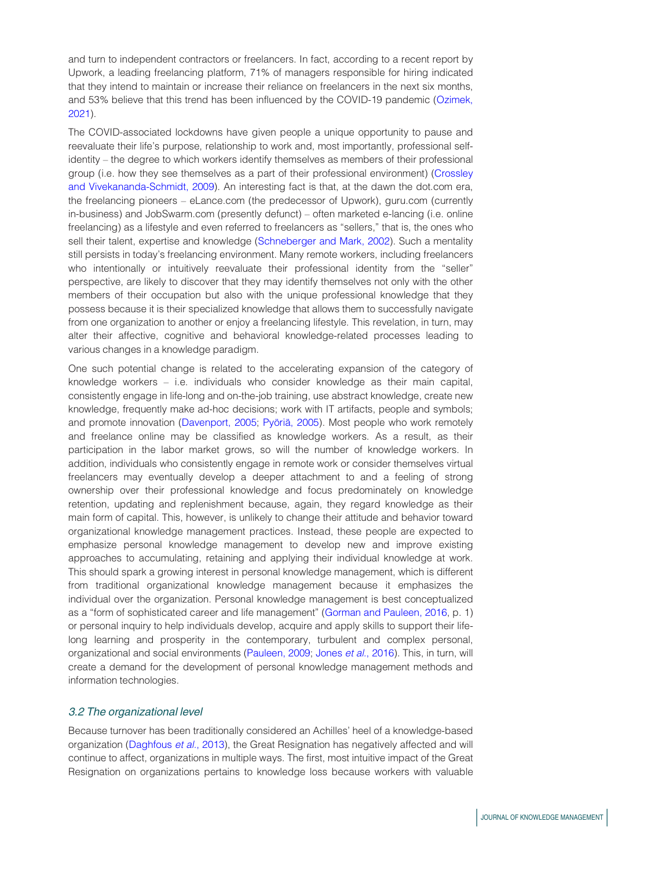and turn to independent contractors or freelancers. In fact, according to a recent report by Upwork, a leading freelancing platform, 71% of managers responsible for hiring indicated that they intend to maintain or increase their reliance on freelancers in the next six months, and 53% believe that this trend has been influenced by the COVID-19 pandemic [\(Ozimek,](#page-11-6) [2021\)](#page-11-6).

The COVID-associated lockdowns have given people a unique opportunity to pause and reevaluate their life's purpose, relationship to work and, most importantly, professional selfidentity – the degree to which workers identify themselves as members of their professional group (i.e. how they see themselves as a part of their professional environment) [\(Crossley](#page-9-6) [and Vivekananda-Schmidt, 2009](#page-9-6)). An interesting fact is that, at the dawn the dot.com era, the freelancing pioneers – eLance.com (the predecessor of Upwork), guru.com (currently in-business) and JobSwarm.com (presently defunct) – often marketed e-lancing (i.e. online freelancing) as a lifestyle and even referred to freelancers as "sellers," that is, the ones who sell their talent, expertise and knowledge ([Schneberger and Mark, 2002](#page-12-7)). Such a mentality still persists in today's freelancing environment. Many remote workers, including freelancers who intentionally or intuitively reevaluate their professional identity from the "seller" perspective, are likely to discover that they may identify themselves not only with the other members of their occupation but also with the unique professional knowledge that they possess because it is their specialized knowledge that allows them to successfully navigate from one organization to another or enjoy a freelancing lifestyle. This revelation, in turn, may alter their affective, cognitive and behavioral knowledge-related processes leading to various changes in a knowledge paradigm.

One such potential change is related to the accelerating expansion of the category of knowledge workers – i.e. individuals who consider knowledge as their main capital, consistently engage in life-long and on-the-job training, use abstract knowledge, create new knowledge, frequently make ad-hoc decisions; work with IT artifacts, people and symbols; and promote innovation [\(Davenport, 2005](#page-9-7); Pyöriä, 2005). Most people who work remotely and freelance online may be classified as knowledge workers. As a result, as their participation in the labor market grows, so will the number of knowledge workers. In addition, individuals who consistently engage in remote work or consider themselves virtual freelancers may eventually develop a deeper attachment to and a feeling of strong ownership over their professional knowledge and focus predominately on knowledge retention, updating and replenishment because, again, they regard knowledge as their main form of capital. This, however, is unlikely to change their attitude and behavior toward organizational knowledge management practices. Instead, these people are expected to emphasize personal knowledge management to develop new and improve existing approaches to accumulating, retaining and applying their individual knowledge at work. This should spark a growing interest in personal knowledge management, which is different from traditional organizational knowledge management because it emphasizes the individual over the organization. Personal knowledge management is best conceptualized as a "form of sophisticated career and life management" ([Gorman and Pauleen, 2016,](#page-10-9) p. 1) or personal inquiry to help individuals develop, acquire and apply skills to support their lifelong learning and prosperity in the contemporary, turbulent and complex personal, organizational and social environments ([Pauleen, 2009](#page-11-8); Jones et al.[, 2016](#page-10-10)). This, in turn, will create a demand for the development of personal knowledge management methods and information technologies.

#### 3.2 The organizational level

Because turnover has been traditionally considered an Achilles' heel of a knowledge-based organization [\(Daghfous](#page-9-8) et al., 2013), the Great Resignation has negatively affected and will continue to affect, organizations in multiple ways. The first, most intuitive impact of the Great Resignation on organizations pertains to knowledge loss because workers with valuable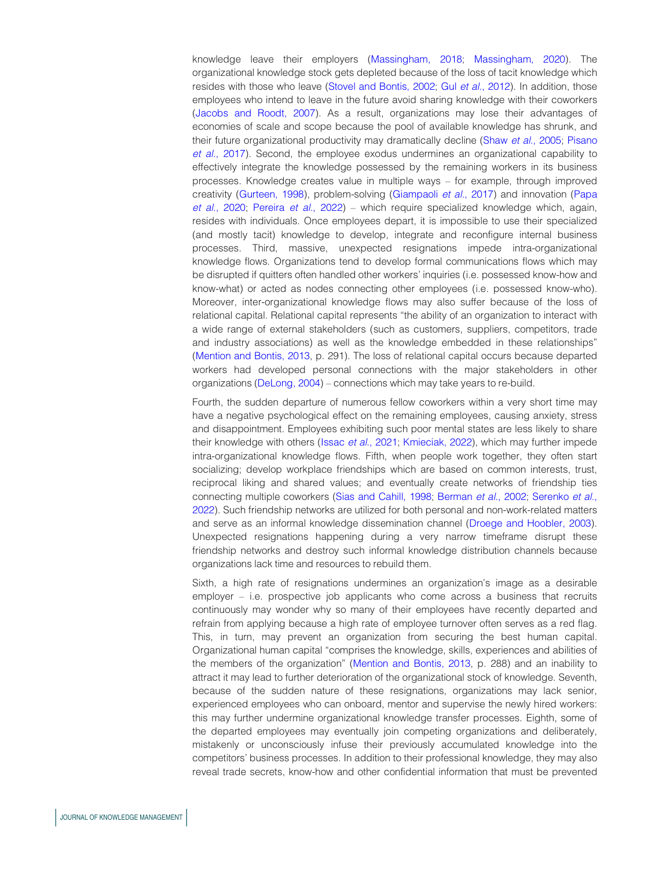knowledge leave their employers ([Massingham, 2018](#page-11-9); [Massingham, 2020](#page-11-10)). The organizational knowledge stock gets depleted because of the loss of tacit knowledge which resides with those who leave ([Stovel and Bontis, 2002;](#page-12-8) Gul et al.[, 2012\)](#page-10-11). In addition, those employees who intend to leave in the future avoid sharing knowledge with their coworkers [\(Jacobs and Roodt, 2007\)](#page-10-12). As a result, organizations may lose their advantages of economies of scale and scope because the pool of available knowledge has shrunk, and their future organizational productivity may dramatically decline (Shaw et al.[, 2005;](#page-12-9) [Pisano](#page-11-11) et al.[, 2017](#page-11-11)). Second, the employee exodus undermines an organizational capability to effectively integrate the knowledge possessed by the remaining workers in its business processes. Knowledge creates value in multiple ways – for example, through improved creativity ([Gurteen, 1998\)](#page-10-13), problem-solving [\(Giampaoli](#page-10-14) et al., 2017) and innovation [\(Papa](#page-11-12) et al.[, 2020;](#page-11-12) [Pereira](#page-11-13) et al., 2022) – which require specialized knowledge which, again, resides with individuals. Once employees depart, it is impossible to use their specialized (and mostly tacit) knowledge to develop, integrate and reconfigure internal business processes. Third, massive, unexpected resignations impede intra-organizational knowledge flows. Organizations tend to develop formal communications flows which may be disrupted if quitters often handled other workers' inquiries (i.e. possessed know-how and know-what) or acted as nodes connecting other employees (i.e. possessed know-who). Moreover, inter-organizational knowledge flows may also suffer because of the loss of relational capital. Relational capital represents "the ability of an organization to interact with a wide range of external stakeholders (such as customers, suppliers, competitors, trade and industry associations) as well as the knowledge embedded in these relationships" [\(Mention and Bontis, 2013,](#page-11-14) p. 291). The loss of relational capital occurs because departed workers had developed personal connections with the major stakeholders in other organizations [\(DeLong, 2004](#page-9-9)) – connections which may take years to re-build.

Fourth, the sudden departure of numerous fellow coworkers within a very short time may have a negative psychological effect on the remaining employees, causing anxiety, stress and disappointment. Employees exhibiting such poor mental states are less likely to share their knowledge with others (Issac *et al.*[, 2021](#page-10-15); [Kmieciak, 2022\)](#page-11-15), which may further impede intra-organizational knowledge flows. Fifth, when people work together, they often start socializing; develop workplace friendships which are based on common interests, trust, reciprocal liking and shared values; and eventually create networks of friendship ties connecting multiple coworkers [\(Sias and Cahill, 1998;](#page-12-10) [Berman](#page-9-10) et al., 2002; [Serenko](#page-12-11) et al., [2022\)](#page-12-11). Such friendship networks are utilized for both personal and non-work-related matters and serve as an informal knowledge dissemination channel ([Droege and Hoobler, 2003](#page-9-11)). Unexpected resignations happening during a very narrow timeframe disrupt these friendship networks and destroy such informal knowledge distribution channels because organizations lack time and resources to rebuild them.

Sixth, a high rate of resignations undermines an organization's image as a desirable employer – i.e. prospective job applicants who come across a business that recruits continuously may wonder why so many of their employees have recently departed and refrain from applying because a high rate of employee turnover often serves as a red flag. This, in turn, may prevent an organization from securing the best human capital. Organizational human capital "comprises the knowledge, skills, experiences and abilities of the members of the organization" ([Mention and Bontis, 2013,](#page-11-14) p. 288) and an inability to attract it may lead to further deterioration of the organizational stock of knowledge. Seventh, because of the sudden nature of these resignations, organizations may lack senior, experienced employees who can onboard, mentor and supervise the newly hired workers: this may further undermine organizational knowledge transfer processes. Eighth, some of the departed employees may eventually join competing organizations and deliberately, mistakenly or unconsciously infuse their previously accumulated knowledge into the competitors' business processes. In addition to their professional knowledge, they may also reveal trade secrets, know-how and other confidential information that must be prevented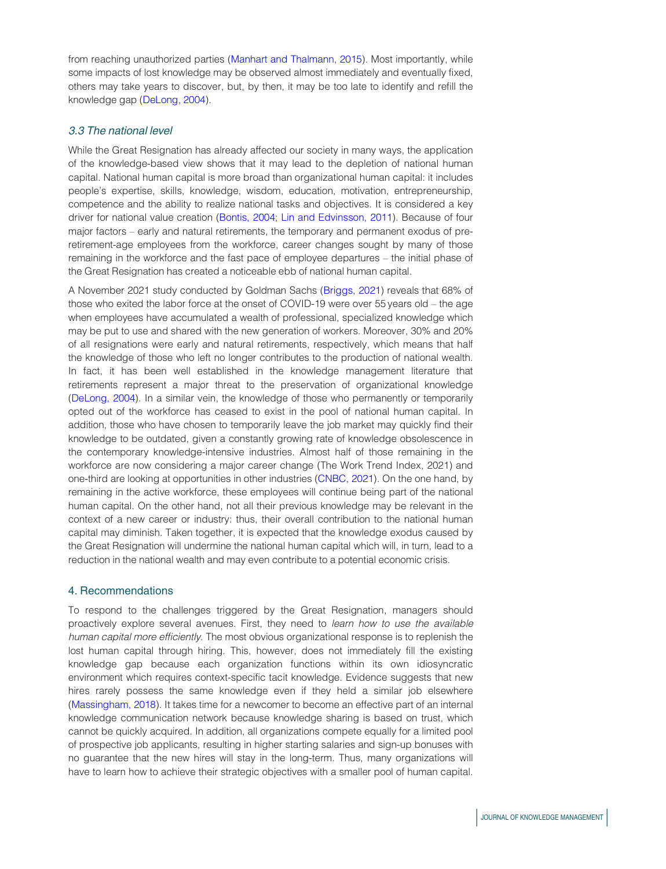from reaching unauthorized parties [\(Manhart and Thalmann, 2015\)](#page-11-16). Most importantly, while some impacts of lost knowledge may be observed almost immediately and eventually fixed, others may take years to discover, but, by then, it may be too late to identify and refill the knowledge gap ([DeLong, 2004\)](#page-9-9).

# 3.3 The national level

While the Great Resignation has already affected our society in many ways, the application of the knowledge-based view shows that it may lead to the depletion of national human capital. National human capital is more broad than organizational human capital: it includes people's expertise, skills, knowledge, wisdom, education, motivation, entrepreneurship, competence and the ability to realize national tasks and objectives. It is considered a key driver for national value creation [\(Bontis, 2004;](#page-9-12) [Lin and Edvinsson, 2011\)](#page-11-17). Because of four major factors – early and natural retirements, the temporary and permanent exodus of preretirement-age employees from the workforce, career changes sought by many of those remaining in the workforce and the fast pace of employee departures – the initial phase of the Great Resignation has created a noticeable ebb of national human capital.

A November 2021 study conducted by Goldman Sachs [\(Briggs, 2021](#page-9-13)) reveals that 68% of those who exited the labor force at the onset of COVID-19 were over 55 years old – the age when employees have accumulated a wealth of professional, specialized knowledge which may be put to use and shared with the new generation of workers. Moreover, 30% and 20% of all resignations were early and natural retirements, respectively, which means that half the knowledge of those who left no longer contributes to the production of national wealth. In fact, it has been well established in the knowledge management literature that retirements represent a major threat to the preservation of organizational knowledge ([DeLong, 2004\)](#page-9-9). In a similar vein, the knowledge of those who permanently or temporarily opted out of the workforce has ceased to exist in the pool of national human capital. In addition, those who have chosen to temporarily leave the job market may quickly find their knowledge to be outdated, given a constantly growing rate of knowledge obsolescence in the contemporary knowledge-intensive industries. Almost half of those remaining in the workforce are now considering a major career change (The Work Trend Index, 2021) and one-third are looking at opportunities in other industries [\(CNBC, 2021\)](#page-9-14). On the one hand, by remaining in the active workforce, these employees will continue being part of the national human capital. On the other hand, not all their previous knowledge may be relevant in the context of a new career or industry: thus, their overall contribution to the national human capital may diminish. Taken together, it is expected that the knowledge exodus caused by the Great Resignation will undermine the national human capital which will, in turn, lead to a reduction in the national wealth and may even contribute to a potential economic crisis.

## 4. Recommendations

To respond to the challenges triggered by the Great Resignation, managers should proactively explore several avenues. First, they need to learn how to use the available human capital more efficiently. The most obvious organizational response is to replenish the lost human capital through hiring. This, however, does not immediately fill the existing knowledge gap because each organization functions within its own idiosyncratic environment which requires context-specific tacit knowledge. Evidence suggests that new hires rarely possess the same knowledge even if they held a similar job elsewhere ([Massingham, 2018](#page-11-9)). It takes time for a newcomer to become an effective part of an internal knowledge communication network because knowledge sharing is based on trust, which cannot be quickly acquired. In addition, all organizations compete equally for a limited pool of prospective job applicants, resulting in higher starting salaries and sign-up bonuses with no guarantee that the new hires will stay in the long-term. Thus, many organizations will have to learn how to achieve their strategic objectives with a smaller pool of human capital.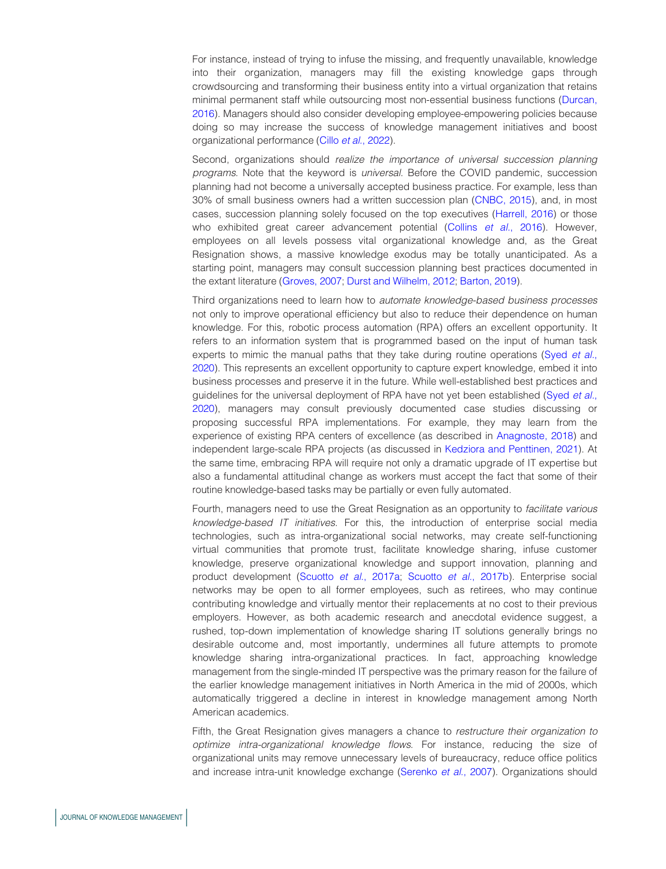For instance, instead of trying to infuse the missing, and frequently unavailable, knowledge into their organization, managers may fill the existing knowledge gaps through crowdsourcing and transforming their business entity into a virtual organization that retains minimal permanent staff while outsourcing most non-essential business functions [\(Durcan,](#page-9-15) [2016\)](#page-9-15). Managers should also consider developing employee-empowering policies because doing so may increase the success of knowledge management initiatives and boost organizational performance (Cillo et al.[, 2022](#page-9-16)).

Second, organizations should realize the importance of universal succession planning programs. Note that the keyword is universal. Before the COVID pandemic, succession planning had not become a universally accepted business practice. For example, less than 30% of small business owners had a written succession plan ([CNBC, 2015](#page-9-17)), and, in most cases, succession planning solely focused on the top executives [\(Harrell, 2016\)](#page-10-16) or those who exhibited great career advancement potential (Collins et al.[, 2016\)](#page-9-18). However, employees on all levels possess vital organizational knowledge and, as the Great Resignation shows, a massive knowledge exodus may be totally unanticipated. As a starting point, managers may consult succession planning best practices documented in the extant literature ([Groves, 2007;](#page-10-17) [Durst and Wilhelm, 2012;](#page-9-19) [Barton, 2019\)](#page-8-0).

Third organizations need to learn how to automate knowledge-based business processes not only to improve operational efficiency but also to reduce their dependence on human knowledge. For this, robotic process automation (RPA) offers an excellent opportunity. It refers to an information system that is programmed based on the input of human task experts to mimic the manual paths that they take during routine operations (Syed [et al.](#page-12-12), [2020\)](#page-12-12). This represents an excellent opportunity to capture expert knowledge, embed it into business processes and preserve it in the future. While well-established best practices and guidelines for the universal deployment of RPA have not yet been established ([Syed](#page-12-12) et al., [2020\)](#page-12-12), managers may consult previously documented case studies discussing or proposing successful RPA implementations. For example, they may learn from the experience of existing RPA centers of excellence (as described in [Anagnoste, 2018](#page-8-1)) and independent large-scale RPA projects (as discussed in [Kedziora and Penttinen, 2021\)](#page-11-18). At the same time, embracing RPA will require not only a dramatic upgrade of IT expertise but also a fundamental attitudinal change as workers must accept the fact that some of their routine knowledge-based tasks may be partially or even fully automated.

Fourth, managers need to use the Great Resignation as an opportunity to facilitate various knowledge-based IT initiatives. For this, the introduction of enterprise social media technologies, such as intra-organizational social networks, may create self-functioning virtual communities that promote trust, facilitate knowledge sharing, infuse customer knowledge, preserve organizational knowledge and support innovation, planning and product development (Scuotto et al.[, 2017a](#page-12-13); Scuotto et al.[, 2017b\)](#page-12-14). Enterprise social networks may be open to all former employees, such as retirees, who may continue contributing knowledge and virtually mentor their replacements at no cost to their previous employers. However, as both academic research and anecdotal evidence suggest, a rushed, top-down implementation of knowledge sharing IT solutions generally brings no desirable outcome and, most importantly, undermines all future attempts to promote knowledge sharing intra-organizational practices. In fact, approaching knowledge management from the single-minded IT perspective was the primary reason for the failure of the earlier knowledge management initiatives in North America in the mid of 2000s, which automatically triggered a decline in interest in knowledge management among North American academics.

Fifth, the Great Resignation gives managers a chance to restructure their organization to optimize intra-organizational knowledge flows. For instance, reducing the size of organizational units may remove unnecessary levels of bureaucracy, reduce office politics and increase intra-unit knowledge exchange [\(Serenko](#page-12-15) et al., 2007). Organizations should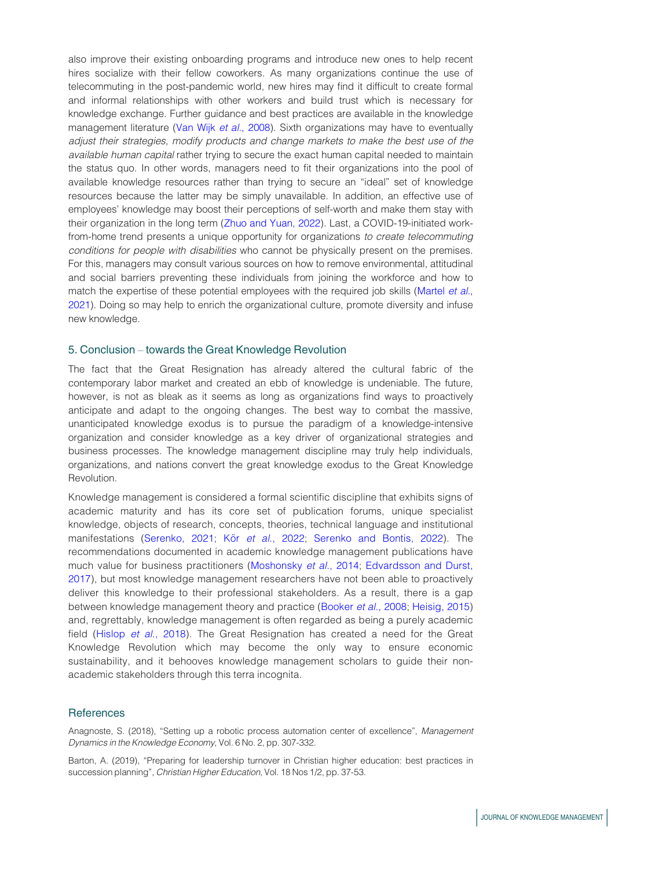also improve their existing onboarding programs and introduce new ones to help recent hires socialize with their fellow coworkers. As many organizations continue the use of telecommuting in the post-pandemic world, new hires may find it difficult to create formal and informal relationships with other workers and build trust which is necessary for knowledge exchange. Further guidance and best practices are available in the knowledge management literature [\(Van Wijk](#page-12-16) et al., 2008). Sixth organizations may have to eventually adjust their strategies, modify products and change markets to make the best use of the available human capital rather trying to secure the exact human capital needed to maintain the status quo. In other words, managers need to fit their organizations into the pool of available knowledge resources rather than trying to secure an "ideal" set of knowledge resources because the latter may be simply unavailable. In addition, an effective use of employees' knowledge may boost their perceptions of self-worth and make them stay with their organization in the long term [\(Zhuo and Yuan, 2022](#page-12-17)). Last, a COVID-19-initiated workfrom-home trend presents a unique opportunity for organizations to create telecommuting conditions for people with disabilities who cannot be physically present on the premises. For this, managers may consult various sources on how to remove environmental, attitudinal and social barriers preventing these individuals from joining the workforce and how to match the expertise of these potential employees with the required job skills [\(Martel](#page-11-19) et al., [2021\)](#page-11-19). Doing so may help to enrich the organizational culture, promote diversity and infuse new knowledge.

#### 5. Conclusion – towards the Great Knowledge Revolution

The fact that the Great Resignation has already altered the cultural fabric of the contemporary labor market and created an ebb of knowledge is undeniable. The future, however, is not as bleak as it seems as long as organizations find ways to proactively anticipate and adapt to the ongoing changes. The best way to combat the massive, unanticipated knowledge exodus is to pursue the paradigm of a knowledge-intensive organization and consider knowledge as a key driver of organizational strategies and business processes. The knowledge management discipline may truly help individuals, organizations, and nations convert the great knowledge exodus to the Great Knowledge Revolution.

Knowledge management is considered a formal scientific discipline that exhibits signs of academic maturity and has its core set of publication forums, unique specialist knowledge, objects of research, concepts, theories, technical language and institutional manifestations [\(Serenko, 2021](#page-12-18); Kör et al.[, 2022](#page-11-20); [Serenko and Bontis, 2022](#page-12-19)). The recommendations documented in academic knowledge management publications have much value for business practitioners [\(Moshonsky](#page-11-21) et al., 2014; [Edvardsson and Durst,](#page-9-20) [2017](#page-9-20)), but most knowledge management researchers have not been able to proactively deliver this knowledge to their professional stakeholders. As a result, there is a gap between knowledge management theory and practice ([Booker](#page-9-21) et al., 2008; [Heisig, 2015\)](#page-10-18) and, regrettably, knowledge management is often regarded as being a purely academic field (Hislop et al.[, 2018](#page-10-19)). The Great Resignation has created a need for the Great Knowledge Revolution which may become the only way to ensure economic sustainability, and it behooves knowledge management scholars to guide their nonacademic stakeholders through this terra incognita.

#### **References**

<span id="page-8-1"></span>Anagnoste, S. (2018), "Setting up a robotic process automation center of excellence", Management Dynamics in the Knowledge Economy, Vol. 6 No. 2, pp. 307-332.

<span id="page-8-0"></span>Barton, A. (2019), "Preparing for leadership turnover in Christian higher education: best practices in succession planning", Christian Higher Education, Vol. 18 Nos 1/2, pp. 37-53.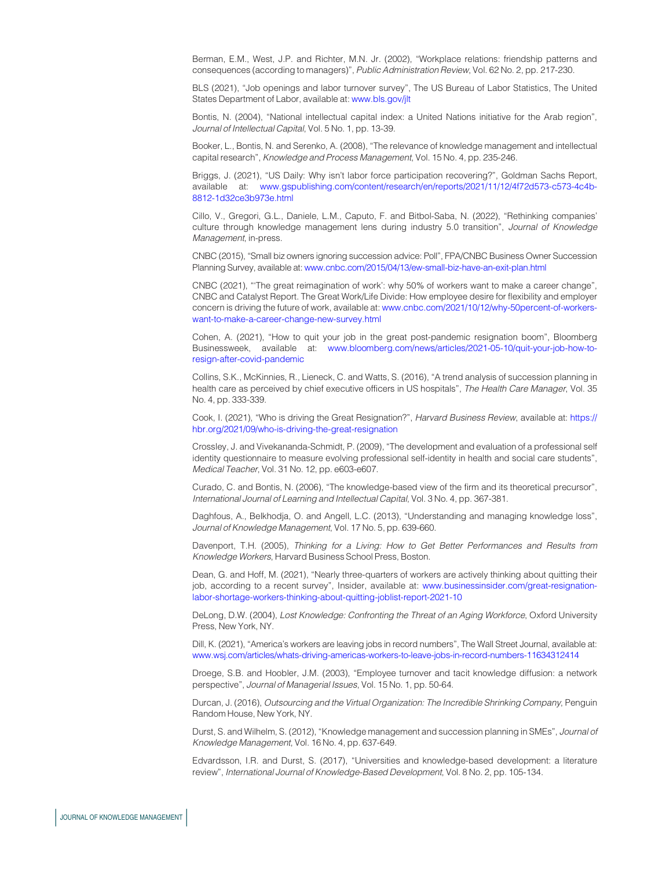<span id="page-9-10"></span>Berman, E.M., West, J.P. and Richter, M.N. Jr. (2002), "Workplace relations: friendship patterns and consequences (according to managers)", Public Administration Review, Vol. 62 No. 2, pp. 217-230.

<span id="page-9-1"></span>BLS (2021), "Job openings and labor turnover survey", The US Bureau of Labor Statistics, The United States Department of Labor, available at: [www.bls.gov/jlt](http://www.bls.gov/jlt)

<span id="page-9-12"></span>Bontis, N. (2004), "National intellectual capital index: a United Nations initiative for the Arab region", Journal of Intellectual Capital, Vol. 5 No. 1, pp. 13-39.

<span id="page-9-21"></span>Booker, L., Bontis, N. and Serenko, A. (2008), "The relevance of knowledge management and intellectual capital research", Knowledge and Process Management, Vol. 15 No. 4, pp. 235-246.

<span id="page-9-13"></span>Briggs, J. (2021), "US Daily: Why isn't labor force participation recovering?", Goldman Sachs Report, available at: [www.gspublishing.com/content/research/en/reports/2021/11/12/4f72d573-c573-4c4b-](http://www.gspublishing.com/content/research/en/reports/2021/11/12/4f72d573-c573-4c4b-8812-1d32ce3b973e.html)[8812-1d32ce3b973e.html](http://www.gspublishing.com/content/research/en/reports/2021/11/12/4f72d573-c573-4c4b-8812-1d32ce3b973e.html)

<span id="page-9-16"></span>Cillo, V., Gregori, G.L., Daniele, L.M., Caputo, F. and Bitbol-Saba, N. (2022), "Rethinking companies' culture through knowledge management lens during industry 5.0 transition", Journal of Knowledge Management, in-press.

<span id="page-9-17"></span>CNBC (2015), "Small biz owners ignoring succession advice: Poll", FPA/CNBC Business Owner Succession Planning Survey, available at: [www.cnbc.com/2015/04/13/ew-small-biz-have-an-exit-plan.html](http://www.cnbc.com/2015/04/13/ew-small-biz-have-an-exit-plan.html)

<span id="page-9-14"></span>CNBC (2021), "'The great reimagination of work': why 50% of workers want to make a career change", CNBC and Catalyst Report. The Great Work/Life Divide: How employee desire for flexibility and employer concern is driving the future of work, available at: [www.cnbc.com/2021/10/12/why-50percent-of-workers](http://www.cnbc.com/2021/10/12/why-50percent-of-workers-want-to-make-a-career-change-new-survey.html)[want-to-make-a-career-change-new-survey.html](http://www.cnbc.com/2021/10/12/why-50percent-of-workers-want-to-make-a-career-change-new-survey.html)

<span id="page-9-0"></span>Cohen, A. (2021), "How to quit your job in the great post-pandemic resignation boom", Bloomberg Businessweek, available at: [www.bloomberg.com/news/articles/2021-05-10/quit-your-job-how-to](http://www.bloomberg.com/news/articles/2021-05-10/quit-your-job-how-to-resign-after-covid-pandemic)[resign-after-covid-pandemic](http://www.bloomberg.com/news/articles/2021-05-10/quit-your-job-how-to-resign-after-covid-pandemic)

<span id="page-9-18"></span>Collins, S.K., McKinnies, R., Lieneck, C. and Watts, S. (2016), "A trend analysis of succession planning in health care as perceived by chief executive officers in US hospitals", The Health Care Manager, Vol. 35 No. 4, pp. 333-339.

<span id="page-9-2"></span>Cook, I. (2021), "Who is driving the Great Resignation?", Harvard Business Review, available at: [https://](https://hbr.org/2021/09/who-is-driving-the-great-resignation) [hbr.org/2021/09/who-is-driving-the-great-resignation](https://hbr.org/2021/09/who-is-driving-the-great-resignation)

<span id="page-9-6"></span>Crossley, J. and Vivekananda-Schmidt, P. (2009), "The development and evaluation of a professional self identity questionnaire to measure evolving professional self-identity in health and social care students", Medical Teacher, Vol. 31 No. 12, pp. e603-e607.

<span id="page-9-5"></span>Curado, C. and Bontis, N. (2006), "The knowledge-based view of the firm and its theoretical precursor", International Journal of Learning and Intellectual Capital, Vol. 3 No. 4, pp. 367-381.

<span id="page-9-8"></span>Daghfous, A., Belkhodja, O. and Angell, L.C. (2013), "Understanding and managing knowledge loss", Journal of Knowledge Management, Vol. 17 No. 5, pp. 639-660.

<span id="page-9-7"></span>Davenport, T.H. (2005), Thinking for a Living: How to Get Better Performances and Results from Knowledge Workers, Harvard Business School Press, Boston.

<span id="page-9-3"></span>Dean, G. and Hoff, M. (2021), "Nearly three-quarters of workers are actively thinking about quitting their job, according to a recent survey", Insider, available at: [www.businessinsider.com/great-resignation](http://www.businessinsider.com/great-resignation-labor-shortage-workers-thinking-about-quitting-joblist-report-2021-10)[labor-shortage-workers-thinking-about-quitting-joblist-report-2021-10](http://www.businessinsider.com/great-resignation-labor-shortage-workers-thinking-about-quitting-joblist-report-2021-10)

<span id="page-9-9"></span>DeLong, D.W. (2004), Lost Knowledge: Confronting the Threat of an Aging Workforce, Oxford University Press, New York, NY.

<span id="page-9-4"></span>Dill, K. (2021), "America's workers are leaving jobs in record numbers", The Wall Street Journal, available at: [www.wsj.com/articles/whats-driving-americas-workers-to-leave-jobs-in-record-numbers-11634312414](http://www.wsj.com/articles/whats-driving-americas-workers-to-leave-jobs-in-record-numbers-11634312414)

<span id="page-9-11"></span>Droege, S.B. and Hoobler, J.M. (2003), "Employee turnover and tacit knowledge diffusion: a network perspective", Journal of Managerial Issues, Vol. 15 No. 1, pp. 50-64.

<span id="page-9-15"></span>Durcan, J. (2016), Outsourcing and the Virtual Organization: The Incredible Shrinking Company, Penguin Random House, New York, NY.

<span id="page-9-19"></span>Durst, S. and Wilhelm, S. (2012), "Knowledge management and succession planning in SMEs", Journal of Knowledge Management, Vol. 16 No. 4, pp. 637-649.

<span id="page-9-20"></span>Edvardsson, I.R. and Durst, S. (2017), "Universities and knowledge-based development: a literature review", International Journal of Knowledge-Based Development, Vol. 8 No. 2, pp. 105-134.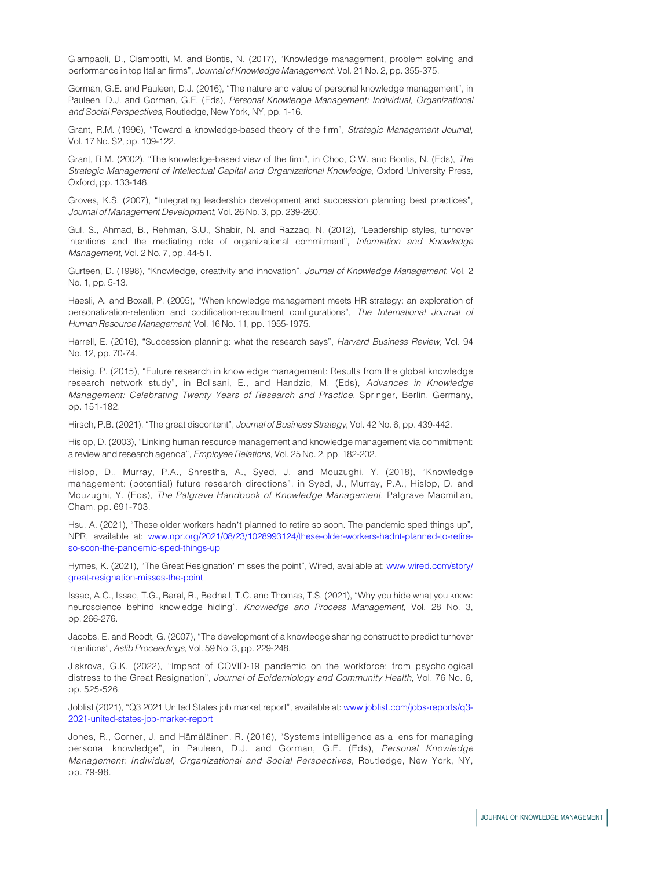<span id="page-10-14"></span>Giampaoli, D., Ciambotti, M. and Bontis, N. (2017), "Knowledge management, problem solving and performance in top Italian firms", Journal of Knowledge Management, Vol. 21 No. 2, pp. 355-375.

<span id="page-10-9"></span>Gorman, G.E. and Pauleen, D.J. (2016), "The nature and value of personal knowledge management", in Pauleen, D.J. and Gorman, G.E. (Eds), Personal Knowledge Management: Individual, Organizational and Social Perspectives, Routledge, New York, NY, pp. 1-16.

<span id="page-10-5"></span>Grant, R.M. (1996), "Toward a knowledge-based theory of the firm", Strategic Management Journal, Vol. 17 No. S2, pp. 109-122.

<span id="page-10-6"></span>Grant, R.M. (2002), "The knowledge-based view of the firm", in Choo, C.W. and Bontis, N. (Eds), The Strategic Management of Intellectual Capital and Organizational Knowledge, Oxford University Press, Oxford, pp. 133-148.

<span id="page-10-17"></span>Groves, K.S. (2007), "Integrating leadership development and succession planning best practices", Journal of Management Development, Vol. 26 No. 3, pp. 239-260.

<span id="page-10-11"></span>Gul, S., Ahmad, B., Rehman, S.U., Shabir, N. and Razzaq, N. (2012), "Leadership styles, turnover intentions and the mediating role of organizational commitment", Information and Knowledge Management, Vol. 2 No. 7, pp. 44-51.

<span id="page-10-13"></span>Gurteen, D. (1998), "Knowledge, creativity and innovation", Journal of Knowledge Management, Vol. 2 No. 1, pp. 5-13.

<span id="page-10-8"></span>Haesli, A. and Boxall, P. (2005), "When knowledge management meets HR strategy: an exploration of personalization-retention and codification-recruitment configurations", The International Journal of Human Resource Management, Vol. 16 No. 11, pp. 1955-1975.

<span id="page-10-16"></span>Harrell, E. (2016), "Succession planning: what the research says", Harvard Business Review, Vol. 94 No. 12, pp. 70-74.

<span id="page-10-18"></span>Heisig, P. (2015), "Future research in knowledge management: Results from the global knowledge research network study", in Bolisani, E., and Handzic, M. (Eds), Advances in Knowledge Management: Celebrating Twenty Years of Research and Practice, Springer, Berlin, Germany, pp. 151-182.

<span id="page-10-4"></span>Hirsch, P.B. (2021), "The great discontent", *Journal of Business Strategy*, Vol. 42 No. 6, pp. 439-442.

<span id="page-10-7"></span>Hislop, D. (2003), "Linking human resource management and knowledge management via commitment: a review and research agenda", Employee Relations, Vol. 25 No. 2, pp. 182-202.

<span id="page-10-19"></span>Hislop, D., Murray, P.A., Shrestha, A., Syed, J. and Mouzughi, Y. (2018), "Knowledge management: (potential) future research directions", in Syed, J., Murray, P.A., Hislop, D. and Mouzughi, Y. (Eds), The Palgrave Handbook of Knowledge Management, Palgrave Macmillan, Cham, pp. 691-703.

<span id="page-10-0"></span>Hsu, A. (2021), "These older workers hadn't planned to retire so soon. The pandemic sped things up", NPR, available at: [www.npr.org/2021/08/23/1028993124/these-older-workers-hadnt-planned-to-retire](http://www.npr.org/2021/08/23/1028993124/these-older-workers-hadnt-planned-to-retire-so-soon-the-pandemic-sped-things-up)[so-soon-the-pandemic-sped-things-up](http://www.npr.org/2021/08/23/1028993124/these-older-workers-hadnt-planned-to-retire-so-soon-the-pandemic-sped-things-up)

<span id="page-10-1"></span>Hymes, K. (2021), "The Great Resignation' misses the point", Wired, available at: [www.wired.com/story/](http://www.wired.com/story/great-resignation-misses-the-point) [great-resignation-misses-the-point](http://www.wired.com/story/great-resignation-misses-the-point)

<span id="page-10-15"></span>Issac, A.C., Issac, T.G., Baral, R., Bednall, T.C. and Thomas, T.S. (2021), "Why you hide what you know: neuroscience behind knowledge hiding", Knowledge and Process Management, Vol. 28 No. 3, pp. 266-276.

<span id="page-10-12"></span>Jacobs, E. and Roodt, G. (2007), "The development of a knowledge sharing construct to predict turnover intentions", Aslib Proceedings, Vol. 59 No. 3, pp. 229-248.

<span id="page-10-3"></span>Jiskrova, G.K. (2022), "Impact of COVID-19 pandemic on the workforce: from psychological distress to the Great Resignation", Journal of Epidemiology and Community Health, Vol. 76 No. 6, pp. 525-526.

<span id="page-10-2"></span>Joblist (2021), "Q3 2021 United States job market report", available at: [www.joblist.com/jobs-reports/q3-](http://www.joblist.com/jobs-reports/q3-2021-united-states-job-market-report) [2021-united-states-job-market-report](http://www.joblist.com/jobs-reports/q3-2021-united-states-job-market-report)

<span id="page-10-10"></span>Jones, R., Corner, J. and Hämäläinen, R. (2016), "Systems intelligence as a lens for managing personal knowledge", in Pauleen, D.J. and Gorman, G.E. (Eds), Personal Knowledge Management: Individual, Organizational and Social Perspectives, Routledge, New York, NY, pp. 79-98.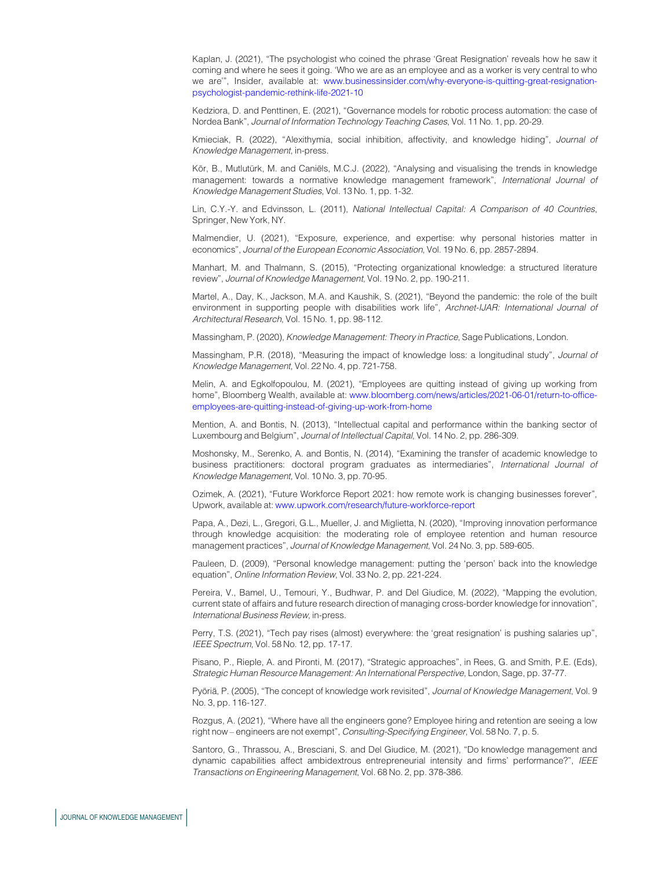<span id="page-11-3"></span>Kaplan, J. (2021), "The psychologist who coined the phrase 'Great Resignation' reveals how he saw it coming and where he sees it going. 'Who we are as an employee and as a worker is very central to who we are'", Insider, available at: [www.businessinsider.com/why-everyone-is-quitting-great-resignation](http://www.businessinsider.com/why-everyone-is-quitting-great-resignation-psychologist-pandemic-rethink-life-2021-10)[psychologist-pandemic-rethink-life-2021-10](http://www.businessinsider.com/why-everyone-is-quitting-great-resignation-psychologist-pandemic-rethink-life-2021-10)

<span id="page-11-18"></span>Kedziora, D. and Penttinen, E. (2021), "Governance models for robotic process automation: the case of Nordea Bank", Journal of Information Technology Teaching Cases, Vol. 11 No. 1, pp. 20-29.

<span id="page-11-15"></span>Kmieciak, R. (2022), "Alexithymia, social inhibition, affectivity, and knowledge hiding", Journal of Knowledge Management, in-press.

<span id="page-11-20"></span>Kör, B., Mutlutürk, M. and Caniëls, M.C.J. (2022), "Analysing and visualising the trends in knowledge management: towards a normative knowledge management framework", International Journal of Knowledge Management Studies, Vol. 13 No. 1, pp. 1-32.

<span id="page-11-17"></span>Lin, C.Y.-Y. and Edvinsson, L. (2011), National Intellectual Capital: A Comparison of 40 Countries, Springer, New York, NY.

<span id="page-11-1"></span>Malmendier, U. (2021), "Exposure, experience, and expertise: why personal histories matter in economics", Journal of the European Economic Association, Vol. 19 No. 6, pp. 2857-2894.

<span id="page-11-16"></span>Manhart, M. and Thalmann, S. (2015), "Protecting organizational knowledge: a structured literature review", Journal of Knowledge Management, Vol. 19 No. 2, pp. 190-211.

<span id="page-11-19"></span>Martel, A., Day, K., Jackson, M.A. and Kaushik, S. (2021), "Beyond the pandemic: the role of the built environment in supporting people with disabilities work life", Archnet-IJAR: International Journal of Architectural Research, Vol. 15 No. 1, pp. 98-112.

<span id="page-11-10"></span>Massingham, P. (2020), Knowledge Management: Theory in Practice, Sage Publications, London.

<span id="page-11-9"></span>Massingham, P.R. (2018), "Measuring the impact of knowledge loss: a longitudinal study", Journal of Knowledge Management, Vol. 22 No. 4, pp. 721-758.

<span id="page-11-2"></span>Melin, A. and Egkolfopoulou, M. (2021), "Employees are quitting instead of giving up working from home", Bloomberg Wealth, available at: [www.bloomberg.com/news/articles/2021-06-01/return-to-office](http://www.bloomberg.com/news/articles/2021-06-01/return-to-office-employees-are-quitting-instead-of-giving-up-work-from-home)[employees-are-quitting-instead-of-giving-up-work-from-home](http://www.bloomberg.com/news/articles/2021-06-01/return-to-office-employees-are-quitting-instead-of-giving-up-work-from-home)

<span id="page-11-14"></span>Mention, A. and Bontis, N. (2013), "Intellectual capital and performance within the banking sector of Luxembourg and Belgium", Journal of Intellectual Capital, Vol. 14 No. 2, pp. 286-309.

<span id="page-11-21"></span>Moshonsky, M., Serenko, A. and Bontis, N. (2014), "Examining the transfer of academic knowledge to business practitioners: doctoral program graduates as intermediaries", International Journal of Knowledge Management, Vol. 10 No. 3, pp. 70-95.

<span id="page-11-6"></span>Ozimek, A. (2021), "Future Workforce Report 2021: how remote work is changing businesses forever", Upwork, available at: [www.upwork.com/research/future-workforce-report](http://www.upwork.com/research/future-workforce-report)

<span id="page-11-12"></span>Papa, A., Dezi, L., Gregori, G.L., Mueller, J. and Miglietta, N. (2020), "Improving innovation performance through knowledge acquisition: the moderating role of employee retention and human resource management practices", Journal of Knowledge Management, Vol. 24 No. 3, pp. 589-605.

<span id="page-11-8"></span>Pauleen, D. (2009), "Personal knowledge management: putting the 'person' back into the knowledge equation", Online Information Review, Vol. 33 No. 2, pp. 221-224.

<span id="page-11-13"></span>Pereira, V., Bamel, U., Temouri, Y., Budhwar, P. and Del Giudice, M. (2022), "Mapping the evolution, current state of affairs and future research direction of managing cross-border knowledge for innovation", International Business Review, in-press.

<span id="page-11-4"></span>Perry, T.S. (2021), "Tech pay rises (almost) everywhere: the 'great resignation' is pushing salaries up", IEEE Spectrum, Vol. 58 No. 12, pp. 17-17.

<span id="page-11-11"></span>Pisano, P., Rieple, A. and Pironti, M. (2017), "Strategic approaches", in Rees, G. and Smith, P.E. (Eds), Strategic Human Resource Management: An International Perspective, London, Sage, pp. 37-77.

<span id="page-11-7"></span>Pyöriä, P. (2005), "The concept of knowledge work revisited", Journal of Knowledge Management, Vol. 9 No. 3, pp. 116-127.

<span id="page-11-0"></span>Rozgus, A. (2021), "Where have all the engineers gone? Employee hiring and retention are seeing a low right now – engineers are not exempt", Consulting-Specifying Engineer, Vol. 58 No. 7, p. 5.

<span id="page-11-5"></span>Santoro, G., Thrassou, A., Bresciani, S. and Del Giudice, M. (2021), "Do knowledge management and dynamic capabilities affect ambidextrous entrepreneurial intensity and firms' performance?", IEEE Transactions on Engineering Management, Vol. 68 No. 2, pp. 378-386.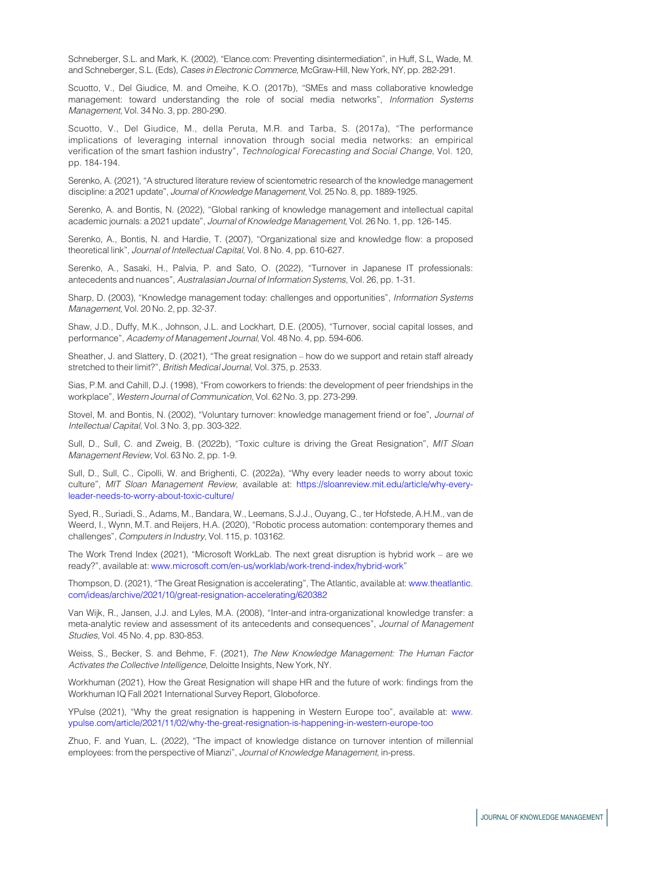<span id="page-12-7"></span>Schneberger, S.L. and Mark, K. (2002), "Elance.com: Preventing disintermediation", in Huff, S.L, Wade, M. and Schneberger, S.L. (Eds), Cases in Electronic Commerce, McGraw-Hill, New York, NY, pp. 282-291.

<span id="page-12-14"></span>Scuotto, V., Del Giudice, M. and Omeihe, K.O. (2017b), "SMEs and mass collaborative knowledge management: toward understanding the role of social media networks", Information Systems Management, Vol. 34 No. 3, pp. 280-290.

<span id="page-12-13"></span>Scuotto, V., Del Giudice, M., della Peruta, M.R. and Tarba, S. (2017a), "The performance implications of leveraging internal innovation through social media networks: an empirical verification of the smart fashion industry", Technological Forecasting and Social Change, Vol. 120, pp. 184-194.

<span id="page-12-18"></span>Serenko, A. (2021), "A structured literature review of scientometric research of the knowledge management discipline: a 2021 update", Journal of Knowledge Management, Vol. 25 No. 8, pp. 1889-1925.

<span id="page-12-19"></span>Serenko, A. and Bontis, N. (2022), "Global ranking of knowledge management and intellectual capital academic journals: a 2021 update", Journal of Knowledge Management, Vol. 26 No. 1, pp. 126-145.

<span id="page-12-15"></span>Serenko, A., Bontis, N. and Hardie, T. (2007), "Organizational size and knowledge flow: a proposed theoretical link", Journal of Intellectual Capital, Vol. 8 No. 4, pp. 610-627.

<span id="page-12-11"></span>Serenko, A., Sasaki, H., Palvia, P. and Sato, O. (2022), "Turnover in Japanese IT professionals: antecedents and nuances", Australasian Journal of Information Systems, Vol. 26, pp. 1-31.

<span id="page-12-6"></span>Sharp, D. (2003), "Knowledge management today: challenges and opportunities", Information Systems Management, Vol. 20 No. 2, pp. 32-37.

<span id="page-12-9"></span>Shaw, J.D., Duffy, M.K., Johnson, J.L. and Lockhart, D.E. (2005), "Turnover, social capital losses, and performance", Academy of Management Journal, Vol. 48 No. 4, pp. 594-606.

<span id="page-12-4"></span>Sheather, J. and Slattery, D. (2021), "The great resignation – how do we support and retain staff already stretched to their limit?", British Medical Journal, Vol. 375, p. 2533.

<span id="page-12-10"></span>Sias, P.M. and Cahill, D.J. (1998), "From coworkers to friends: the development of peer friendships in the workplace", Western Journal of Communication, Vol. 62 No. 3, pp. 273-299.

<span id="page-12-8"></span>Stovel, M. and Bontis, N. (2002), "Voluntary turnover: knowledge management friend or foe", Journal of Intellectual Capital, Vol. 3 No. 3, pp. 303-322.

<span id="page-12-3"></span>Sull, D., Sull, C. and Zweig, B. (2022b), "Toxic culture is driving the Great Resignation", MIT Sloan Management Review, Vol. 63 No. 2, pp. 1-9.

<span id="page-12-2"></span>Sull, D., Sull, C., Cipolli, W. and Brighenti, C. (2022a), "Why every leader needs to worry about toxic culture", MIT Sloan Management Review, available at: [https://sloanreview.mit.edu/article/why-every](https://sloanreview.mit.edu/article/why-every-leader-needs-to-worry-about-toxic-culture/)[leader-needs-to-worry-about-toxic-culture/](https://sloanreview.mit.edu/article/why-every-leader-needs-to-worry-about-toxic-culture/)

<span id="page-12-12"></span>Syed, R., Suriadi, S., Adams, M., Bandara, W., Leemans, S.J.J., Ouyang, C., ter Hofstede, A.H.M., van de Weerd, I., Wynn, M.T. and Reijers, H.A. (2020), "Robotic process automation: contemporary themes and challenges", Computers in Industry, Vol. 115, p. 103162.

The Work Trend Index (2021), "Microsoft WorkLab. The next great disruption is hybrid work – are we ready?", available at: [www.microsoft.com/en-us/worklab/work-trend-index/hybrid-work"](http://www.microsoft.com/en-us/worklab/work-trend-index/hybrid-work)

<span id="page-12-1"></span>Thompson, D. (2021), "The Great Resignation is accelerating", The Atlantic, available at: [www.theatlantic.](http://www.theatlantic.com/ideas/archive/2021/10/great-resignation-accelerating/620382) [com/ideas/archive/2021/10/great-resignation-accelerating/620382](http://www.theatlantic.com/ideas/archive/2021/10/great-resignation-accelerating/620382)

<span id="page-12-16"></span>Van Wijk, R., Jansen, J.J. and Lyles, M.A. (2008), "Inter-and intra-organizational knowledge transfer: a meta-analytic review and assessment of its antecedents and consequences", Journal of Management Studies, Vol. 45 No. 4, pp. 830-853.

<span id="page-12-5"></span>Weiss, S., Becker, S. and Behme, F. (2021), The New Knowledge Management: The Human Factor Activates the Collective Intelligence, Deloitte Insights, New York, NY.

<span id="page-12-0"></span>Workhuman (2021), How the Great Resignation will shape HR and the future of work: findings from the Workhuman IQ Fall 2021 International Survey Report, Globoforce.

YPulse (2021), "Why the great resignation is happening in Western Europe too", available at: [www.](http://www.ypulse.com/article/2021/11/02/why-the-great-resignation-is-happening-in-western-europe-too) [ypulse.com/article/2021/11/02/why-the-great-resignation-is-happening-in-western-europe-too](http://www.ypulse.com/article/2021/11/02/why-the-great-resignation-is-happening-in-western-europe-too)

<span id="page-12-17"></span>Zhuo, F. and Yuan, L. (2022), "The impact of knowledge distance on turnover intention of millennial employees: from the perspective of Mianzi", Journal of Knowledge Management, in-press.